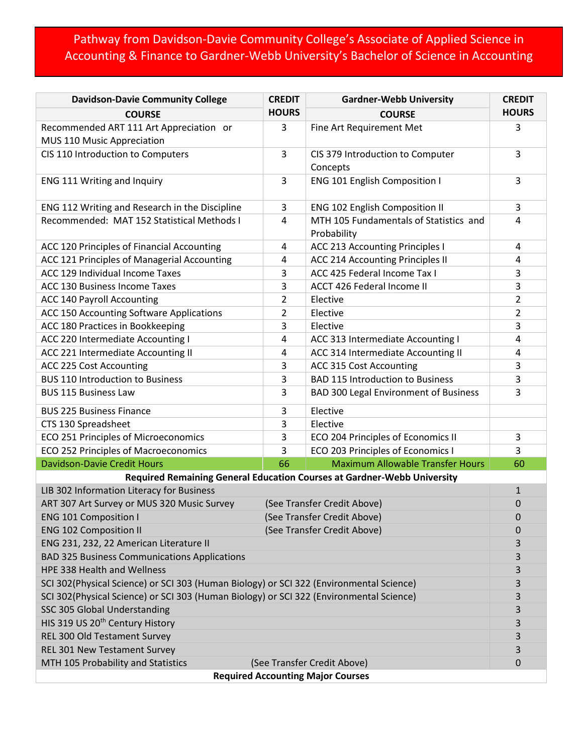## Pathway from Davidson-Davie Community College's Associate of Applied Science in Accounting & Finance to Gardner-Webb University's Bachelor of Science in Accounting

| <b>Davidson-Davie Community College</b>                                                 | <b>CREDIT</b>               | <b>Gardner-Webb University</b>                        | <b>CREDIT</b>  |  |  |  |  |
|-----------------------------------------------------------------------------------------|-----------------------------|-------------------------------------------------------|----------------|--|--|--|--|
| <b>COURSE</b>                                                                           | <b>HOURS</b>                | <b>COURSE</b>                                         | <b>HOURS</b>   |  |  |  |  |
| Recommended ART 111 Art Appreciation or<br>MUS 110 Music Appreciation                   | 3                           | Fine Art Requirement Met                              | 3              |  |  |  |  |
| CIS 110 Introduction to Computers                                                       | 3                           | CIS 379 Introduction to Computer<br>Concepts          | 3              |  |  |  |  |
| ENG 111 Writing and Inquiry                                                             | 3                           | <b>ENG 101 English Composition I</b>                  | 3              |  |  |  |  |
| ENG 112 Writing and Research in the Discipline                                          | 3                           | <b>ENG 102 English Composition II</b>                 | 3              |  |  |  |  |
| Recommended: MAT 152 Statistical Methods I                                              | 4                           | MTH 105 Fundamentals of Statistics and<br>Probability | 4              |  |  |  |  |
| ACC 120 Principles of Financial Accounting                                              | 4                           | ACC 213 Accounting Principles I                       | 4              |  |  |  |  |
| ACC 121 Principles of Managerial Accounting                                             | 4                           | ACC 214 Accounting Principles II                      | 4              |  |  |  |  |
| ACC 129 Individual Income Taxes                                                         | 3                           | ACC 425 Federal Income Tax I                          | 3              |  |  |  |  |
| ACC 130 Business Income Taxes                                                           | 3                           | ACCT 426 Federal Income II                            | 3              |  |  |  |  |
| <b>ACC 140 Payroll Accounting</b>                                                       | $\overline{2}$              | Elective                                              | $\overline{2}$ |  |  |  |  |
| ACC 150 Accounting Software Applications                                                | $\overline{2}$              | Elective                                              | 2              |  |  |  |  |
| ACC 180 Practices in Bookkeeping                                                        | 3                           | Elective                                              | 3              |  |  |  |  |
| ACC 220 Intermediate Accounting I                                                       | 4                           | ACC 313 Intermediate Accounting I                     | 4              |  |  |  |  |
| ACC 221 Intermediate Accounting II                                                      | 4                           | ACC 314 Intermediate Accounting II                    | 4              |  |  |  |  |
| ACC 225 Cost Accounting                                                                 | 3                           | ACC 315 Cost Accounting                               | 3              |  |  |  |  |
| <b>BUS 110 Introduction to Business</b>                                                 | 3                           | <b>BAD 115 Introduction to Business</b>               | 3              |  |  |  |  |
| <b>BUS 115 Business Law</b>                                                             | 3                           | BAD 300 Legal Environment of Business                 | 3              |  |  |  |  |
| <b>BUS 225 Business Finance</b>                                                         | 3                           | Elective                                              |                |  |  |  |  |
| CTS 130 Spreadsheet                                                                     | 3                           | Elective                                              |                |  |  |  |  |
| ECO 251 Principles of Microeconomics                                                    | 3                           | ECO 204 Principles of Economics II                    | 3              |  |  |  |  |
| ECO 252 Principles of Macroeconomics                                                    | 3                           | ECO 203 Principles of Economics I                     | 3              |  |  |  |  |
| <b>Davidson-Davie Credit Hours</b>                                                      | 66                          | <b>Maximum Allowable Transfer Hours</b>               | 60             |  |  |  |  |
| Required Remaining General Education Courses at Gardner-Webb University                 |                             |                                                       |                |  |  |  |  |
| LIB 302 Information Literacy for Business                                               |                             |                                                       |                |  |  |  |  |
| ART 307 Art Survey or MUS 320 Music Survey                                              | (See Transfer Credit Above) | 0                                                     |                |  |  |  |  |
| <b>ENG 101 Composition I</b>                                                            | (See Transfer Credit Above) | 0                                                     |                |  |  |  |  |
| (See Transfer Credit Above)<br><b>ENG 102 Composition II</b>                            |                             |                                                       |                |  |  |  |  |
| ENG 231, 232, 22 American Literature II                                                 |                             |                                                       |                |  |  |  |  |
| <b>BAD 325 Business Communications Applications</b>                                     |                             |                                                       |                |  |  |  |  |
| HPE 338 Health and Wellness                                                             |                             |                                                       |                |  |  |  |  |
| SCI 302(Physical Science) or SCI 303 (Human Biology) or SCI 322 (Environmental Science) |                             |                                                       |                |  |  |  |  |
| SCI 302(Physical Science) or SCI 303 (Human Biology) or SCI 322 (Environmental Science) |                             |                                                       |                |  |  |  |  |
| SSC 305 Global Understanding                                                            |                             |                                                       |                |  |  |  |  |
| HIS 319 US 20 <sup>th</sup> Century History                                             |                             |                                                       |                |  |  |  |  |
| REL 300 Old Testament Survey                                                            |                             |                                                       |                |  |  |  |  |
| REL 301 New Testament Survey                                                            |                             |                                                       |                |  |  |  |  |
| MTH 105 Probability and Statistics<br>(See Transfer Credit Above)<br>$\mathbf 0$        |                             |                                                       |                |  |  |  |  |
| <b>Required Accounting Major Courses</b>                                                |                             |                                                       |                |  |  |  |  |